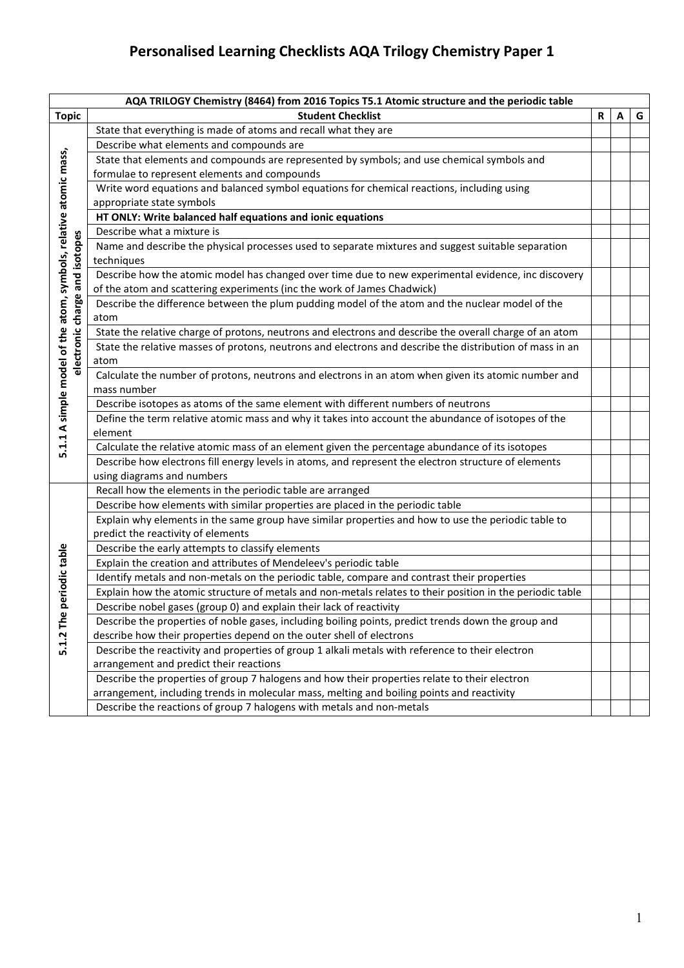| AQA TRILOGY Chemistry (8464) from 2016 Topics T5.1 Atomic structure and the periodic table |                                                                                                           |   |   |   |
|--------------------------------------------------------------------------------------------|-----------------------------------------------------------------------------------------------------------|---|---|---|
| <b>Topic</b>                                                                               | <b>Student Checklist</b>                                                                                  | R | A | G |
|                                                                                            | State that everything is made of atoms and recall what they are                                           |   |   |   |
|                                                                                            | Describe what elements and compounds are                                                                  |   |   |   |
|                                                                                            | State that elements and compounds are represented by symbols; and use chemical symbols and                |   |   |   |
|                                                                                            | formulae to represent elements and compounds                                                              |   |   |   |
|                                                                                            | Write word equations and balanced symbol equations for chemical reactions, including using                |   |   |   |
|                                                                                            | appropriate state symbols                                                                                 |   |   |   |
|                                                                                            | HT ONLY: Write balanced half equations and ionic equations                                                |   |   |   |
|                                                                                            | Describe what a mixture is                                                                                |   |   |   |
|                                                                                            | Name and describe the physical processes used to separate mixtures and suggest suitable separation        |   |   |   |
|                                                                                            | techniques                                                                                                |   |   |   |
|                                                                                            | Describe how the atomic model has changed over time due to new experimental evidence, inc discovery       |   |   |   |
|                                                                                            | of the atom and scattering experiments (inc the work of James Chadwick)                                   |   |   |   |
|                                                                                            | Describe the difference between the plum pudding model of the atom and the nuclear model of the           |   |   |   |
|                                                                                            | atom                                                                                                      |   |   |   |
| electronic charge and isotopes                                                             | State the relative charge of protons, neutrons and electrons and describe the overall charge of an atom   |   |   |   |
|                                                                                            | State the relative masses of protons, neutrons and electrons and describe the distribution of mass in an  |   |   |   |
|                                                                                            | atom                                                                                                      |   |   |   |
|                                                                                            | Calculate the number of protons, neutrons and electrons in an atom when given its atomic number and       |   |   |   |
|                                                                                            | mass number                                                                                               |   |   |   |
| 5.1.1 A simple model of the atom, symbols, relative atomic mass,                           | Describe isotopes as atoms of the same element with different numbers of neutrons                         |   |   |   |
|                                                                                            | Define the term relative atomic mass and why it takes into account the abundance of isotopes of the       |   |   |   |
|                                                                                            | element                                                                                                   |   |   |   |
|                                                                                            | Calculate the relative atomic mass of an element given the percentage abundance of its isotopes           |   |   |   |
|                                                                                            | Describe how electrons fill energy levels in atoms, and represent the electron structure of elements      |   |   |   |
|                                                                                            | using diagrams and numbers                                                                                |   |   |   |
|                                                                                            | Recall how the elements in the periodic table are arranged                                                |   |   |   |
|                                                                                            | Describe how elements with similar properties are placed in the periodic table                            |   |   |   |
|                                                                                            | Explain why elements in the same group have similar properties and how to use the periodic table to       |   |   |   |
|                                                                                            | predict the reactivity of elements                                                                        |   |   |   |
| periodic table                                                                             | Describe the early attempts to classify elements                                                          |   |   |   |
|                                                                                            | Explain the creation and attributes of Mendeleev's periodic table                                         |   |   |   |
|                                                                                            | Identify metals and non-metals on the periodic table, compare and contrast their properties               |   |   |   |
|                                                                                            | Explain how the atomic structure of metals and non-metals relates to their position in the periodic table |   |   |   |
|                                                                                            | Describe nobel gases (group 0) and explain their lack of reactivity                                       |   |   |   |
|                                                                                            | Describe the properties of noble gases, including boiling points, predict trends down the group and       |   |   |   |
| 5.1.2 The                                                                                  | describe how their properties depend on the outer shell of electrons                                      |   |   |   |
|                                                                                            | Describe the reactivity and properties of group 1 alkali metals with reference to their electron          |   |   |   |
|                                                                                            | arrangement and predict their reactions                                                                   |   |   |   |
|                                                                                            | Describe the properties of group 7 halogens and how their properties relate to their electron             |   |   |   |
|                                                                                            | arrangement, including trends in molecular mass, melting and boiling points and reactivity                |   |   |   |
|                                                                                            | Describe the reactions of group 7 halogens with metals and non-metals                                     |   |   |   |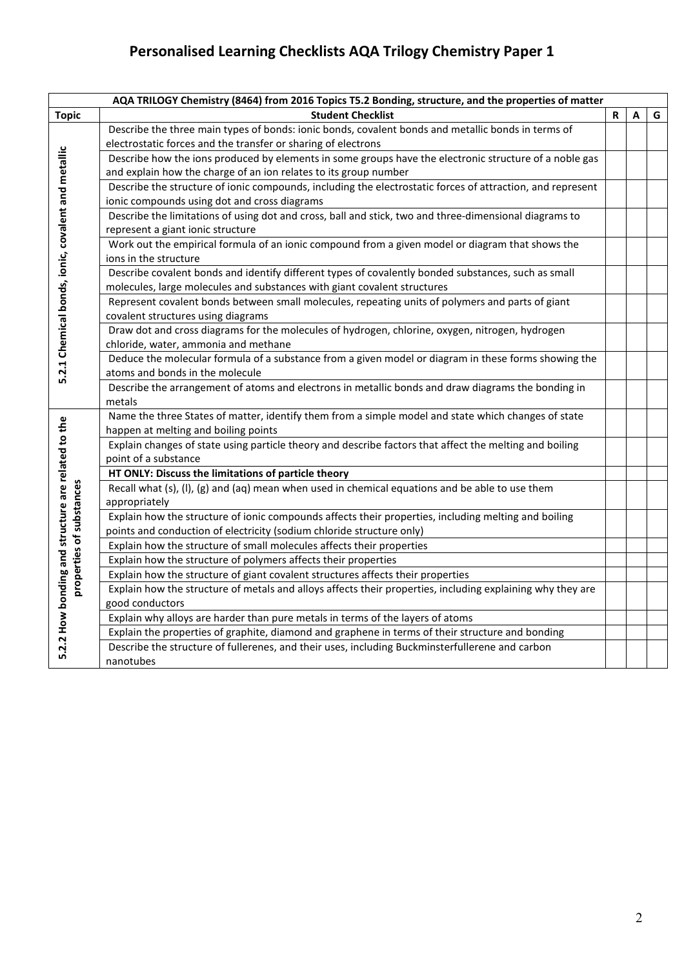|                                                                                | AQA TRILOGY Chemistry (8464) from 2016 Topics T5.2 Bonding, structure, and the properties of matter          |   |   |   |
|--------------------------------------------------------------------------------|--------------------------------------------------------------------------------------------------------------|---|---|---|
| <b>Topic</b>                                                                   | <b>Student Checklist</b>                                                                                     | R | A | G |
|                                                                                | Describe the three main types of bonds: ionic bonds, covalent bonds and metallic bonds in terms of           |   |   |   |
|                                                                                | electrostatic forces and the transfer or sharing of electrons                                                |   |   |   |
|                                                                                | Describe how the ions produced by elements in some groups have the electronic structure of a noble gas       |   |   |   |
|                                                                                | and explain how the charge of an ion relates to its group number                                             |   |   |   |
|                                                                                | Describe the structure of ionic compounds, including the electrostatic forces of attraction, and represent   |   |   |   |
|                                                                                | ionic compounds using dot and cross diagrams                                                                 |   |   |   |
|                                                                                | Describe the limitations of using dot and cross, ball and stick, two and three-dimensional diagrams to       |   |   |   |
|                                                                                | represent a giant ionic structure                                                                            |   |   |   |
|                                                                                | Work out the empirical formula of an ionic compound from a given model or diagram that shows the             |   |   |   |
|                                                                                | ions in the structure                                                                                        |   |   |   |
|                                                                                | Describe covalent bonds and identify different types of covalently bonded substances, such as small          |   |   |   |
|                                                                                | molecules, large molecules and substances with giant covalent structures                                     |   |   |   |
| 5.2.1 Chemical bonds, ionic, covalent and metallic                             | Represent covalent bonds between small molecules, repeating units of polymers and parts of giant             |   |   |   |
|                                                                                | covalent structures using diagrams                                                                           |   |   |   |
|                                                                                | Draw dot and cross diagrams for the molecules of hydrogen, chlorine, oxygen, nitrogen, hydrogen              |   |   |   |
|                                                                                | chloride, water, ammonia and methane                                                                         |   |   |   |
|                                                                                | Deduce the molecular formula of a substance from a given model or diagram in these forms showing the         |   |   |   |
|                                                                                | atoms and bonds in the molecule                                                                              |   |   |   |
|                                                                                | Describe the arrangement of atoms and electrons in metallic bonds and draw diagrams the bonding in<br>metals |   |   |   |
|                                                                                | Name the three States of matter, identify them from a simple model and state which changes of state          |   |   |   |
|                                                                                | happen at melting and boiling points                                                                         |   |   |   |
|                                                                                | Explain changes of state using particle theory and describe factors that affect the melting and boiling      |   |   |   |
|                                                                                | point of a substance                                                                                         |   |   |   |
|                                                                                | HT ONLY: Discuss the limitations of particle theory                                                          |   |   |   |
|                                                                                | Recall what (s), (l), (g) and (aq) mean when used in chemical equations and be able to use them              |   |   |   |
|                                                                                | appropriately                                                                                                |   |   |   |
|                                                                                | Explain how the structure of ionic compounds affects their properties, including melting and boiling         |   |   |   |
|                                                                                | points and conduction of electricity (sodium chloride structure only)                                        |   |   |   |
|                                                                                | Explain how the structure of small molecules affects their properties                                        |   |   |   |
|                                                                                | Explain how the structure of polymers affects their properties                                               |   |   |   |
| 5.2.2 How bonding and structure are related to the<br>properties of substances | Explain how the structure of giant covalent structures affects their properties                              |   |   |   |
|                                                                                | Explain how the structure of metals and alloys affects their properties, including explaining why they are   |   |   |   |
|                                                                                | good conductors                                                                                              |   |   |   |
|                                                                                | Explain why alloys are harder than pure metals in terms of the layers of atoms                               |   |   |   |
|                                                                                | Explain the properties of graphite, diamond and graphene in terms of their structure and bonding             |   |   |   |
|                                                                                | Describe the structure of fullerenes, and their uses, including Buckminsterfullerene and carbon              |   |   |   |
|                                                                                | nanotubes                                                                                                    |   |   |   |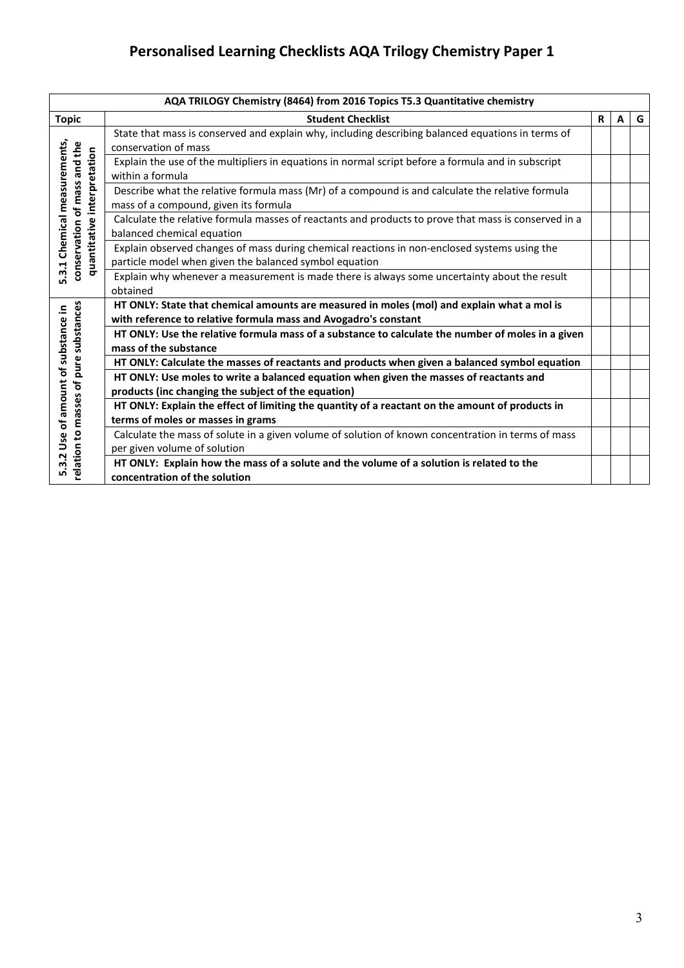| AQA TRILOGY Chemistry (8464) from 2016 Topics T5.3 Quantitative chemistry |                                                                                                                                                        |   |   |   |
|---------------------------------------------------------------------------|--------------------------------------------------------------------------------------------------------------------------------------------------------|---|---|---|
| <b>Topic</b>                                                              | <b>Student Checklist</b>                                                                                                                               | R | A | G |
|                                                                           | State that mass is conserved and explain why, including describing balanced equations in terms of<br>conservation of mass                              |   |   |   |
| and the                                                                   | Explain the use of the multipliers in equations in normal script before a formula and in subscript<br>within a formula                                 |   |   |   |
| Chemical measurements,                                                    | Describe what the relative formula mass (Mr) of a compound is and calculate the relative formula<br>mass of a compound, given its formula              |   |   |   |
|                                                                           | Calculate the relative formula masses of reactants and products to prove that mass is conserved in a<br>balanced chemical equation                     |   |   |   |
| quantitative interpretation<br>conservation of mass                       | Explain observed changes of mass during chemical reactions in non-enclosed systems using the<br>particle model when given the balanced symbol equation |   |   |   |
| 5.3.1                                                                     | Explain why whenever a measurement is made there is always some uncertainty about the result<br>obtained                                               |   |   |   |
|                                                                           | HT ONLY: State that chemical amounts are measured in moles (mol) and explain what a mol is                                                             |   |   |   |
|                                                                           | with reference to relative formula mass and Avogadro's constant                                                                                        |   |   |   |
| pure substances<br>of substance in                                        | HT ONLY: Use the relative formula mass of a substance to calculate the number of moles in a given                                                      |   |   |   |
|                                                                           | mass of the substance                                                                                                                                  |   |   |   |
|                                                                           | HT ONLY: Calculate the masses of reactants and products when given a balanced symbol equation                                                          |   |   |   |
| Ⴆ                                                                         | HT ONLY: Use moles to write a balanced equation when given the masses of reactants and                                                                 |   |   |   |
| Use of amount                                                             | products (inc changing the subject of the equation)                                                                                                    |   |   |   |
| masses                                                                    | HT ONLY: Explain the effect of limiting the quantity of a reactant on the amount of products in                                                        |   |   |   |
|                                                                           | terms of moles or masses in grams                                                                                                                      |   |   |   |
|                                                                           | Calculate the mass of solute in a given volume of solution of known concentration in terms of mass                                                     |   |   |   |
| Ņ                                                                         | per given volume of solution                                                                                                                           |   |   |   |
| relation to<br>5.3                                                        | HT ONLY: Explain how the mass of a solute and the volume of a solution is related to the                                                               |   |   |   |
|                                                                           | concentration of the solution                                                                                                                          |   |   |   |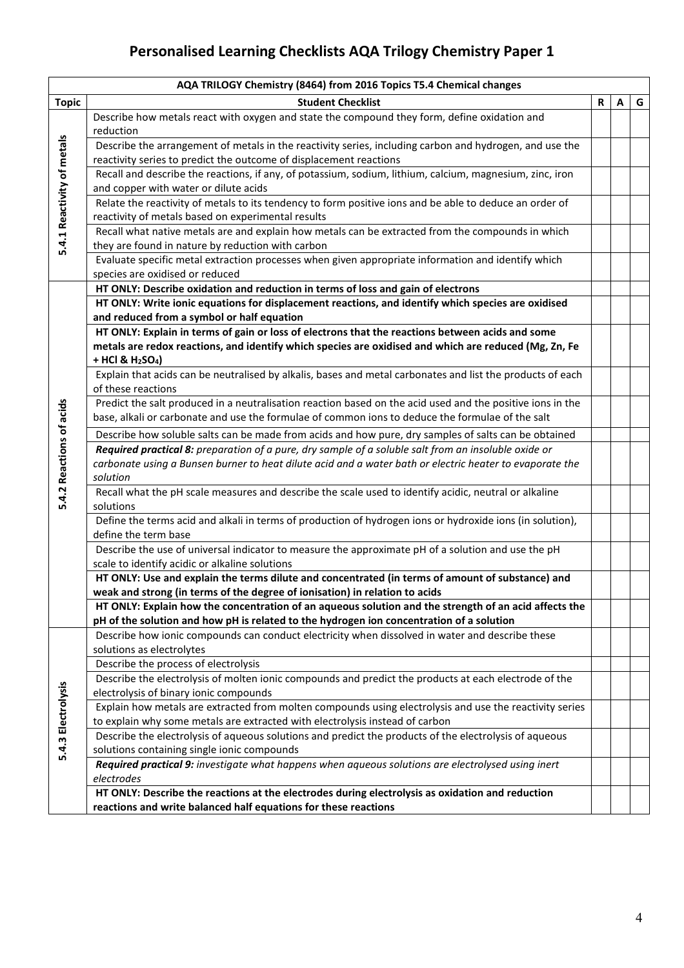| AQA TRILOGY Chemistry (8464) from 2016 Topics T5.4 Chemical changes |                                                                                                                                                                                                                              |   |   |   |
|---------------------------------------------------------------------|------------------------------------------------------------------------------------------------------------------------------------------------------------------------------------------------------------------------------|---|---|---|
| <b>Topic</b>                                                        | <b>Student Checklist</b>                                                                                                                                                                                                     | R | A | G |
|                                                                     | Describe how metals react with oxygen and state the compound they form, define oxidation and<br>reduction                                                                                                                    |   |   |   |
|                                                                     | Describe the arrangement of metals in the reactivity series, including carbon and hydrogen, and use the                                                                                                                      |   |   |   |
|                                                                     | reactivity series to predict the outcome of displacement reactions                                                                                                                                                           |   |   |   |
|                                                                     | Recall and describe the reactions, if any, of potassium, sodium, lithium, calcium, magnesium, zinc, iron<br>and copper with water or dilute acids                                                                            |   |   |   |
|                                                                     | Relate the reactivity of metals to its tendency to form positive ions and be able to deduce an order of<br>reactivity of metals based on experimental results                                                                |   |   |   |
| 5.4.1 Reactivity of metals                                          | Recall what native metals are and explain how metals can be extracted from the compounds in which<br>they are found in nature by reduction with carbon                                                                       |   |   |   |
|                                                                     | Evaluate specific metal extraction processes when given appropriate information and identify which                                                                                                                           |   |   |   |
|                                                                     | species are oxidised or reduced                                                                                                                                                                                              |   |   |   |
|                                                                     | HT ONLY: Describe oxidation and reduction in terms of loss and gain of electrons                                                                                                                                             |   |   |   |
|                                                                     | HT ONLY: Write ionic equations for displacement reactions, and identify which species are oxidised                                                                                                                           |   |   |   |
|                                                                     | and reduced from a symbol or half equation                                                                                                                                                                                   |   |   |   |
|                                                                     | HT ONLY: Explain in terms of gain or loss of electrons that the reactions between acids and some                                                                                                                             |   |   |   |
|                                                                     | metals are redox reactions, and identify which species are oxidised and which are reduced (Mg, Zn, Fe<br>+ HCl & H <sub>2</sub> SO <sub>4</sub> )                                                                            |   |   |   |
|                                                                     | Explain that acids can be neutralised by alkalis, bases and metal carbonates and list the products of each                                                                                                                   |   |   |   |
|                                                                     | of these reactions                                                                                                                                                                                                           |   |   |   |
|                                                                     | Predict the salt produced in a neutralisation reaction based on the acid used and the positive ions in the                                                                                                                   |   |   |   |
|                                                                     | base, alkali or carbonate and use the formulae of common ions to deduce the formulae of the salt                                                                                                                             |   |   |   |
|                                                                     | Describe how soluble salts can be made from acids and how pure, dry samples of salts can be obtained                                                                                                                         |   |   |   |
| 5.4.2 Reactions of acids                                            | Required practical 8: preparation of a pure, dry sample of a soluble salt from an insoluble oxide or<br>carbonate using a Bunsen burner to heat dilute acid and a water bath or electric heater to evaporate the<br>solution |   |   |   |
|                                                                     | Recall what the pH scale measures and describe the scale used to identify acidic, neutral or alkaline<br>solutions                                                                                                           |   |   |   |
|                                                                     | Define the terms acid and alkali in terms of production of hydrogen ions or hydroxide ions (in solution),<br>define the term base                                                                                            |   |   |   |
|                                                                     | Describe the use of universal indicator to measure the approximate pH of a solution and use the pH<br>scale to identify acidic or alkaline solutions                                                                         |   |   |   |
|                                                                     | HT ONLY: Use and explain the terms dilute and concentrated (in terms of amount of substance) and<br>weak and strong (in terms of the degree of ionisation) in relation to acids                                              |   |   |   |
|                                                                     | HT ONLY: Explain how the concentration of an aqueous solution and the strength of an acid affects the<br>pH of the solution and how pH is related to the hydrogen ion concentration of a solution                            |   |   |   |
|                                                                     | Describe how ionic compounds can conduct electricity when dissolved in water and describe these<br>solutions as electrolytes                                                                                                 |   |   |   |
|                                                                     | Describe the process of electrolysis                                                                                                                                                                                         |   |   |   |
|                                                                     | Describe the electrolysis of molten ionic compounds and predict the products at each electrode of the                                                                                                                        |   |   |   |
|                                                                     | electrolysis of binary ionic compounds                                                                                                                                                                                       |   |   |   |
|                                                                     | Explain how metals are extracted from molten compounds using electrolysis and use the reactivity series                                                                                                                      |   |   |   |
| 5.4.3 Electrolysis                                                  | to explain why some metals are extracted with electrolysis instead of carbon                                                                                                                                                 |   |   |   |
|                                                                     | Describe the electrolysis of aqueous solutions and predict the products of the electrolysis of aqueous                                                                                                                       |   |   |   |
|                                                                     | solutions containing single ionic compounds                                                                                                                                                                                  |   |   |   |
|                                                                     | Required practical 9: investigate what happens when aqueous solutions are electrolysed using inert<br>electrodes                                                                                                             |   |   |   |
|                                                                     | HT ONLY: Describe the reactions at the electrodes during electrolysis as oxidation and reduction                                                                                                                             |   |   |   |
|                                                                     | reactions and write balanced half equations for these reactions                                                                                                                                                              |   |   |   |